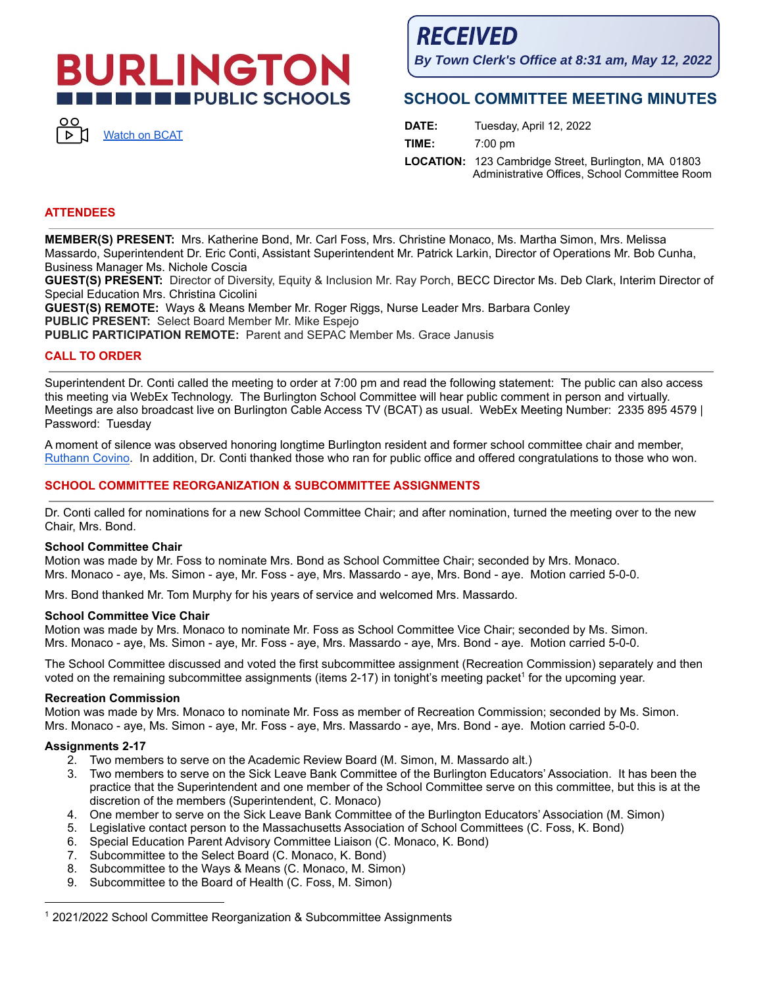# **BURLINGTON IN EXECUTIVE PUBLIC SCHOOLS**



**RECEIVED** 

**By Town Clerk's Office at 8:31 am, May 12, 2022**

# **SCHOOL COMMITTEE MEETING MINUTES**

| DATE: | Tuesday, April 12, 2022                                                                                      |
|-------|--------------------------------------------------------------------------------------------------------------|
| TIME: | $7:00 \text{ pm}$                                                                                            |
|       | <b>LOCATION:</b> 123 Cambridge Street, Burlington, MA 01803<br>Administrative Offices, School Committee Room |

## **ATTENDEES**

**MEMBER(S) PRESENT:** Mrs. Katherine Bond, Mr. Carl Foss, Mrs. Christine Monaco, Ms. Martha Simon, Mrs. Melissa Massardo, Superintendent Dr. Eric Conti, Assistant Superintendent Mr. Patrick Larkin, Director of Operations Mr. Bob Cunha, Business Manager Ms. Nichole Coscia

**GUEST(S) PRESENT:** Director of Diversity, Equity & Inclusion Mr. Ray Porch, BECC Director Ms. Deb Clark, Interim Director of Special Education Mrs. Christina Cicolini

**GUEST(S) REMOTE:** Ways & Means Member Mr. Roger Riggs, Nurse Leader Mrs. Barbara Conley **PUBLIC PRESENT:** Select Board Member Mr. Mike Espejo

**PUBLIC PARTICIPATION REMOTE:** Parent and SEPAC Member Ms. Grace Janusis

## **CALL TO ORDER**

Superintendent Dr. Conti called the meeting to order at 7:00 pm and read the following statement: The public can also access this meeting via WebEx Technology. The Burlington School Committee will hear public comment in person and virtually. Meetings are also broadcast live on Burlington Cable Access TV (BCAT) as usual. WebEx Meeting Number: 2335 895 4579 | Password: Tuesday

A moment of silence was observed honoring longtime Burlington resident and former school committee chair and member, [Ruthann](https://bcattv.org/obituary-beloved-family-woman-and-active-burlington-resident-ruthann-covino-77/) Covino. In addition, Dr. Conti thanked those who ran for public office and offered congratulations to those who won.

## **SCHOOL COMMITTEE REORGANIZATION & SUBCOMMITTEE ASSIGNMENTS**

Dr. Conti called for nominations for a new School Committee Chair; and after nomination, turned the meeting over to the new Chair, Mrs. Bond.

#### **School Committee Chair**

Motion was made by Mr. Foss to nominate Mrs. Bond as School Committee Chair; seconded by Mrs. Monaco. Mrs. Monaco - aye, Ms. Simon - aye, Mr. Foss - aye, Mrs. Massardo - aye, Mrs. Bond - aye. Motion carried 5-0-0.

Mrs. Bond thanked Mr. Tom Murphy for his years of service and welcomed Mrs. Massardo.

#### **School Committee Vice Chair**

Motion was made by Mrs. Monaco to nominate Mr. Foss as School Committee Vice Chair; seconded by Ms. Simon. Mrs. Monaco - aye, Ms. Simon - aye, Mr. Foss - aye, Mrs. Massardo - aye, Mrs. Bond - aye. Motion carried 5-0-0.

The School Committee discussed and voted the first subcommittee assignment (Recreation Commission) separately and then voted on the remaining subcommittee assignments (items 2-17) in tonight's meeting packet<sup>1</sup> for the upcoming year.

## **Recreation Commission**

Motion was made by Mrs. Monaco to nominate Mr. Foss as member of Recreation Commission; seconded by Ms. Simon. Mrs. Monaco - aye, Ms. Simon - aye, Mr. Foss - aye, Mrs. Massardo - aye, Mrs. Bond - aye. Motion carried 5-0-0.

## **Assignments 2-17**

- 2. Two members to serve on the Academic Review Board (M. Simon, M. Massardo alt.)
- 3. Two members to serve on the Sick Leave Bank Committee of the Burlington Educators' Association. It has been the practice that the Superintendent and one member of the School Committee serve on this committee, but this is at the discretion of the members (Superintendent, C. Monaco)
- 4. One member to serve on the Sick Leave Bank Committee of the Burlington Educators' Association (M. Simon)
- 5. Legislative contact person to the Massachusetts Association of School Committees (C. Foss, K. Bond)
- 6. Special Education Parent Advisory Committee Liaison (C. Monaco, K. Bond)
- 7. Subcommittee to the Select Board (C. Monaco, K. Bond)
- 8. Subcommittee to the Ways & Means (C. Monaco, M. Simon)
- 9. Subcommittee to the Board of Health (C. Foss, M. Simon)

<sup>1</sup> 2021/2022 School Committee Reorganization & Subcommittee Assignments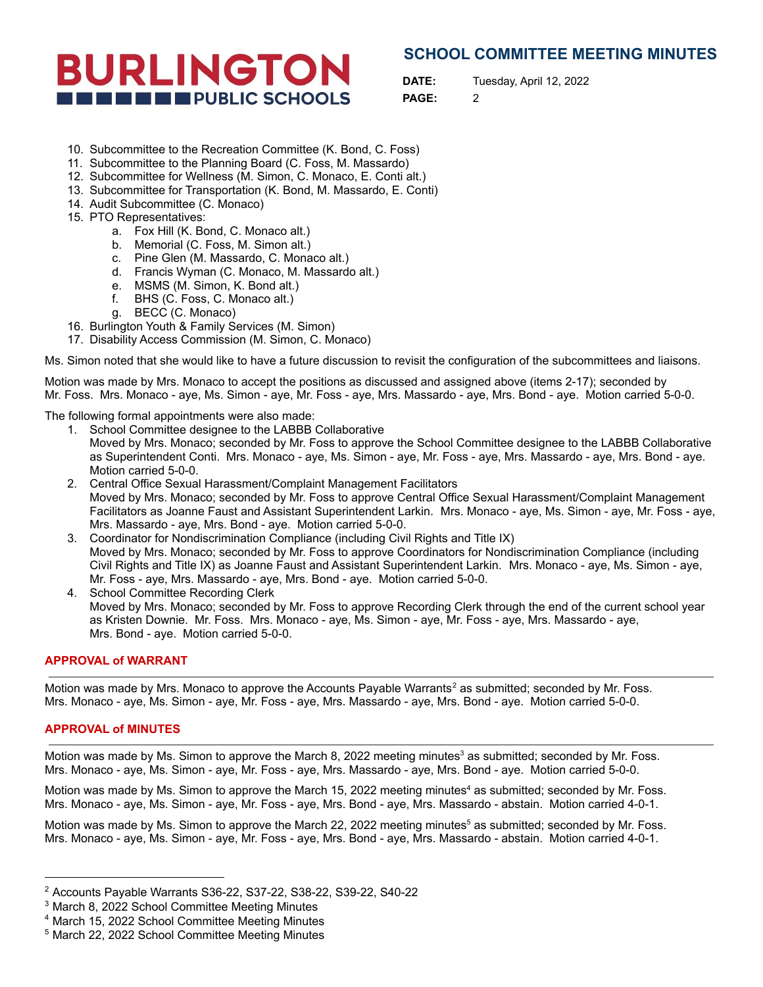# **SCHOOL COMMITTEE MEETING MINUTES**



**DATE:** Tuesday, April 12, 2022

**PAGE:** 2

- 10. Subcommittee to the Recreation Committee (K. Bond, C. Foss)
- 11. Subcommittee to the Planning Board (C. Foss, M. Massardo)
- 12. Subcommittee for Wellness (M. Simon, C. Monaco, E. Conti alt.)
- 13. Subcommittee for Transportation (K. Bond, M. Massardo, E. Conti)
- 14. Audit Subcommittee (C. Monaco)
- 15. PTO Representatives:
	- a. Fox Hill (K. Bond, C. Monaco alt.)
	- b. Memorial (C. Foss, M. Simon alt.)
	- c. Pine Glen (M. Massardo, C. Monaco alt.)
	- d. Francis Wyman (C. Monaco, M. Massardo alt.)
	- e. MSMS (M. Simon, K. Bond alt.)
	- f. BHS (C. Foss, C. Monaco alt.)
	- g. BECC (C. Monaco)
- 16. Burlington Youth & Family Services (M. Simon)
- 17. Disability Access Commission (M. Simon, C. Monaco)

Ms. Simon noted that she would like to have a future discussion to revisit the configuration of the subcommittees and liaisons.

Motion was made by Mrs. Monaco to accept the positions as discussed and assigned above (items 2-17); seconded by Mr. Foss. Mrs. Monaco - aye, Ms. Simon - aye, Mr. Foss - aye, Mrs. Massardo - aye, Mrs. Bond - aye. Motion carried 5-0-0.

The following formal appointments were also made:

- 1. School Committee designee to the LABBB Collaborative Moved by Mrs. Monaco; seconded by Mr. Foss to approve the School Committee designee to the LABBB Collaborative as Superintendent Conti. Mrs. Monaco - aye, Ms. Simon - aye, Mr. Foss - aye, Mrs. Massardo - aye, Mrs. Bond - aye. Motion carried 5-0-0.
- 2. Central Office Sexual Harassment/Complaint Management Facilitators Moved by Mrs. Monaco; seconded by Mr. Foss to approve Central Office Sexual Harassment/Complaint Management Facilitators as Joanne Faust and Assistant Superintendent Larkin. Mrs. Monaco - aye, Ms. Simon - aye, Mr. Foss - aye, Mrs. Massardo - aye, Mrs. Bond - aye. Motion carried 5-0-0.
- 3. Coordinator for Nondiscrimination Compliance (including Civil Rights and Title IX) Moved by Mrs. Monaco; seconded by Mr. Foss to approve Coordinators for Nondiscrimination Compliance (including Civil Rights and Title IX) as Joanne Faust and Assistant Superintendent Larkin. Mrs. Monaco - aye, Ms. Simon - aye, Mr. Foss - aye, Mrs. Massardo - aye, Mrs. Bond - aye. Motion carried 5-0-0.
- 4. School Committee Recording Clerk Moved by Mrs. Monaco; seconded by Mr. Foss to approve Recording Clerk through the end of the current school year as Kristen Downie. Mr. Foss. Mrs. Monaco - aye, Ms. Simon - aye, Mr. Foss - aye, Mrs. Massardo - aye, Mrs. Bond - aye. Motion carried 5-0-0.

## **APPROVAL of WARRANT**

Motion was made by Mrs. Monaco to approve the Accounts Payable Warrants<sup>2</sup> as submitted; seconded by Mr. Foss. Mrs. Monaco - aye, Ms. Simon - aye, Mr. Foss - aye, Mrs. Massardo - aye, Mrs. Bond - aye. Motion carried 5-0-0.

## **APPROVAL of MINUTES**

Motion was made by Ms. Simon to approve the March 8, 2022 meeting minutes<sup>3</sup> as submitted; seconded by Mr. Foss. Mrs. Monaco - aye, Ms. Simon - aye, Mr. Foss - aye, Mrs. Massardo - aye, Mrs. Bond - aye. Motion carried 5-0-0.

Motion was made by Ms. Simon to approve the March 15, 2022 meeting minutes<sup>4</sup> as submitted; seconded by Mr. Foss. Mrs. Monaco - aye, Ms. Simon - aye, Mr. Foss - aye, Mrs. Bond - aye, Mrs. Massardo - abstain. Motion carried 4-0-1.

Motion was made by Ms. Simon to approve the March 22, 2022 meeting minutes<sup>5</sup> as submitted; seconded by Mr. Foss. Mrs. Monaco - aye, Ms. Simon - aye, Mr. Foss - aye, Mrs. Bond - aye, Mrs. Massardo - abstain. Motion carried 4-0-1.

<sup>2</sup> Accounts Payable Warrants S36-22, S37-22, S38-22, S39-22, S40-22

<sup>3</sup> March 8, 2022 School Committee Meeting Minutes

<sup>4</sup> March 15, 2022 School Committee Meeting Minutes

<sup>5</sup> March 22, 2022 School Committee Meeting Minutes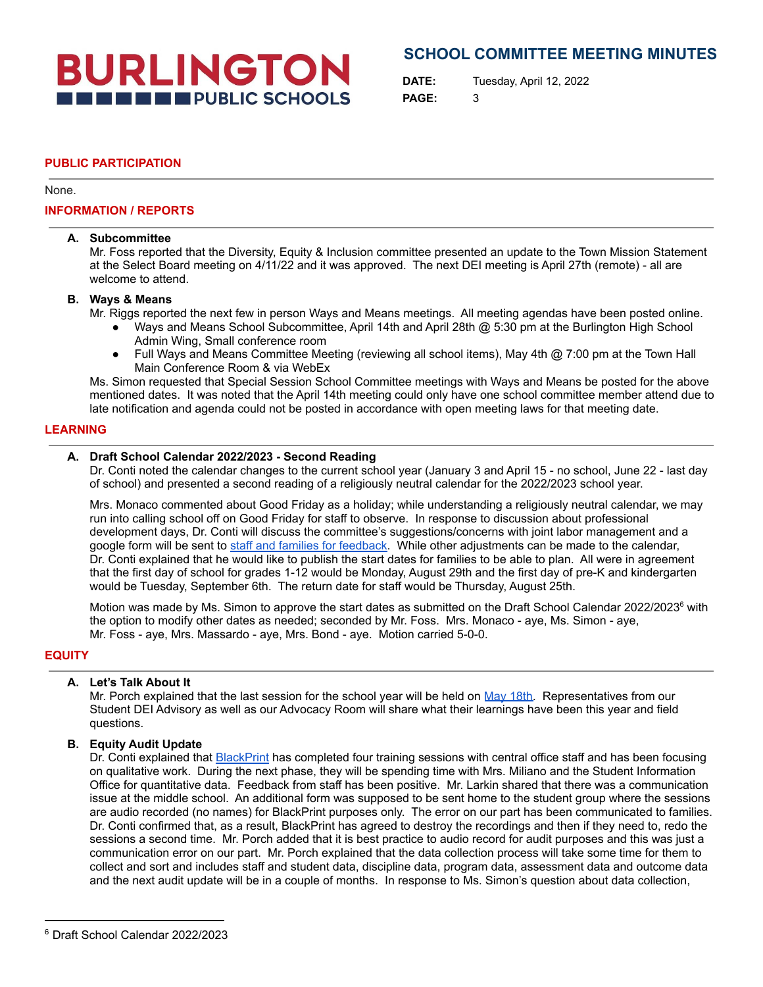# **BURLINGTON THE ENDIRE PUBLIC SCHOOLS**

## **SCHOOL COMMITTEE MEETING MINUTES**

**DATE:** Tuesday, April 12, 2022 **PAGE:** 3

## **PUBLIC PARTICIPATION**

None.

## **INFORMATION / REPORTS**

#### **A. Subcommittee**

Mr. Foss reported that the Diversity, Equity & Inclusion committee presented an update to the Town Mission Statement at the Select Board meeting on 4/11/22 and it was approved. The next DEI meeting is April 27th (remote) - all are welcome to attend.

## **B. Ways & Means**

Mr. Riggs reported the next few in person Ways and Means meetings. All meeting agendas have been posted online.

- Ways and Means School Subcommittee, April 14th and April 28th @ 5:30 pm at the Burlington High School Admin Wing, Small conference room
- Full Ways and Means Committee Meeting (reviewing all school items), May 4th @ 7:00 pm at the Town Hall Main Conference Room & via WebEx

Ms. Simon requested that Special Session School Committee meetings with Ways and Means be posted for the above mentioned dates. It was noted that the April 14th meeting could only have one school committee member attend due to late notification and agenda could not be posted in accordance with open meeting laws for that meeting date.

## **LEARNING**

## **A. Draft School Calendar 2022/2023 - Second Reading**

Dr. Conti noted the calendar changes to the current school year (January 3 and April 15 - no school, June 22 - last day of school) and presented a second reading of a religiously neutral calendar for the 2022/2023 school year.

Mrs. Monaco commented about Good Friday as a holiday; while understanding a religiously neutral calendar, we may run into calling school off on Good Friday for staff to observe. In response to discussion about professional development days, Dr. Conti will discuss the committee's suggestions/concerns with joint labor management and a google form will be sent to staff and families for [feedback.](https://docs.google.com/document/d/1u2SM4aHVz2UH7aTxiHXkolRDqlAoejhjQfq2JkezEzU/edit) While other adjustments can be made to the calendar, Dr. Conti explained that he would like to publish the start dates for families to be able to plan. All were in agreement that the first day of school for grades 1-12 would be Monday, August 29th and the first day of pre-K and kindergarten would be Tuesday, September 6th. The return date for staff would be Thursday, August 25th.

Motion was made by Ms. Simon to approve the start dates as submitted on the Draft School Calendar 2022/2023<sup>6</sup> with the option to modify other dates as needed; seconded by Mr. Foss. Mrs. Monaco - aye, Ms. Simon - aye, Mr. Foss - aye, Mrs. Massardo - aye, Mrs. Bond - aye. Motion carried 5-0-0.

## **EQUITY**

## **A. Let's Talk About It**

Mr. Porch explained that the last session for the school year will be held on May [18th.](https://docs.google.com/forms/d/e/1FAIpQLSc1XJWqxZjvJdA1SPCcz88Q0vSfELLzGm29O90MEC2Hmq9NtA/viewform) Representatives from our Student DEI Advisory as well as our Advocacy Room will share what their learnings have been this year and field questions.

## **B. Equity Audit Update**

Dr. Conti explained that [BlackPrint](https://theblackprintinc.com/) has completed four training sessions with central office staff and has been focusing on qualitative work. During the next phase, they will be spending time with Mrs. Miliano and the Student Information Office for quantitative data. Feedback from staff has been positive. Mr. Larkin shared that there was a communication issue at the middle school. An additional form was supposed to be sent home to the student group where the sessions are audio recorded (no names) for BlackPrint purposes only. The error on our part has been communicated to families. Dr. Conti confirmed that, as a result, BlackPrint has agreed to destroy the recordings and then if they need to, redo the sessions a second time. Mr. Porch added that it is best practice to audio record for audit purposes and this was just a communication error on our part. Mr. Porch explained that the data collection process will take some time for them to collect and sort and includes staff and student data, discipline data, program data, assessment data and outcome data and the next audit update will be in a couple of months. In response to Ms. Simon's question about data collection,

<sup>6</sup> Draft School Calendar 2022/2023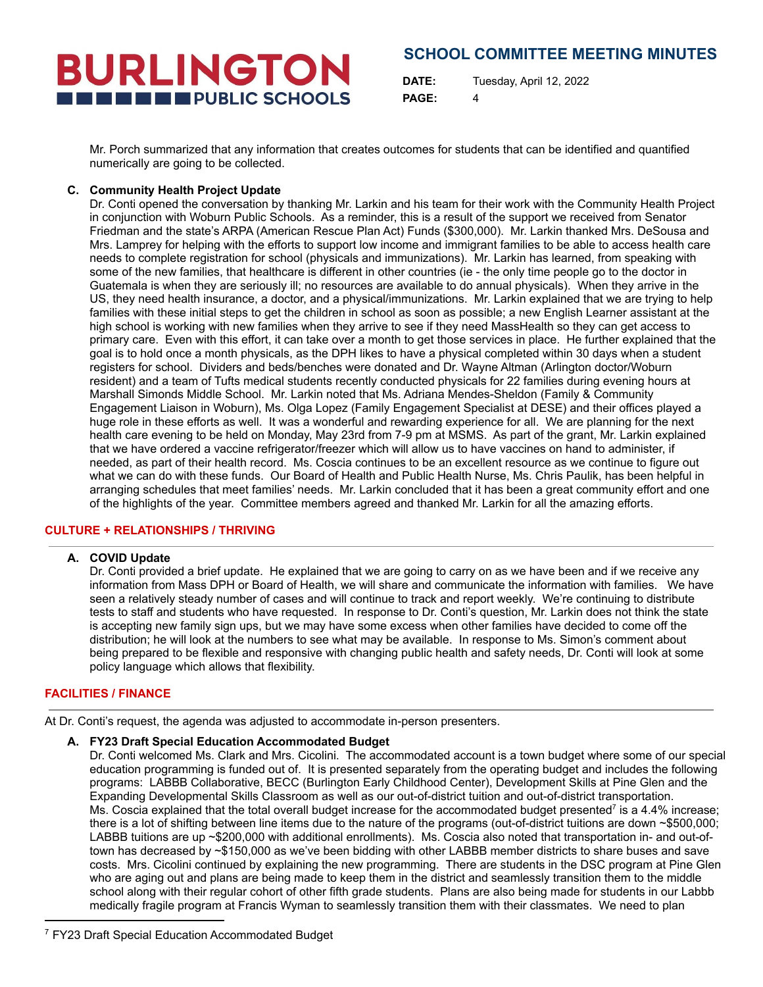# **BURLINGTON THE THE PUBLIC SCHOOLS**

## **SCHOOL COMMITTEE MEETING MINUTES**

**DATE:** Tuesday, April 12, 2022 **PAGE:** 4

Mr. Porch summarized that any information that creates outcomes for students that can be identified and quantified numerically are going to be collected.

## **C. Community Health Project Update**

Dr. Conti opened the conversation by thanking Mr. Larkin and his team for their work with the Community Health Project in conjunction with Woburn Public Schools. As a reminder, this is a result of the support we received from Senator Friedman and the state's ARPA (American Rescue Plan Act) Funds (\$300,000). Mr. Larkin thanked Mrs. DeSousa and Mrs. Lamprey for helping with the efforts to support low income and immigrant families to be able to access health care needs to complete registration for school (physicals and immunizations). Mr. Larkin has learned, from speaking with some of the new families, that healthcare is different in other countries (ie - the only time people go to the doctor in Guatemala is when they are seriously ill; no resources are available to do annual physicals). When they arrive in the US, they need health insurance, a doctor, and a physical/immunizations. Mr. Larkin explained that we are trying to help families with these initial steps to get the children in school as soon as possible; a new English Learner assistant at the high school is working with new families when they arrive to see if they need MassHealth so they can get access to primary care. Even with this effort, it can take over a month to get those services in place. He further explained that the goal is to hold once a month physicals, as the DPH likes to have a physical completed within 30 days when a student registers for school. Dividers and beds/benches were donated and Dr. Wayne Altman (Arlington doctor/Woburn resident) and a team of Tufts medical students recently conducted physicals for 22 families during evening hours at Marshall Simonds Middle School. Mr. Larkin noted that Ms. Adriana Mendes-Sheldon (Family & Community Engagement Liaison in Woburn), Ms. Olga Lopez (Family Engagement Specialist at DESE) and their offices played a huge role in these efforts as well. It was a wonderful and rewarding experience for all. We are planning for the next health care evening to be held on Monday, May 23rd from 7-9 pm at MSMS. As part of the grant, Mr. Larkin explained that we have ordered a vaccine refrigerator/freezer which will allow us to have vaccines on hand to administer, if needed, as part of their health record. Ms. Coscia continues to be an excellent resource as we continue to figure out what we can do with these funds. Our Board of Health and Public Health Nurse, Ms. Chris Paulik, has been helpful in arranging schedules that meet families' needs. Mr. Larkin concluded that it has been a great community effort and one of the highlights of the year. Committee members agreed and thanked Mr. Larkin for all the amazing efforts.

## **CULTURE + RELATIONSHIPS / THRIVING**

## **A. COVID Update**

Dr. Conti provided a brief update. He explained that we are going to carry on as we have been and if we receive any information from Mass DPH or Board of Health, we will share and communicate the information with families. We have seen a relatively steady number of cases and will continue to track and report weekly. We're continuing to distribute tests to staff and students who have requested. In response to Dr. Conti's question, Mr. Larkin does not think the state is accepting new family sign ups, but we may have some excess when other families have decided to come off the distribution; he will look at the numbers to see what may be available. In response to Ms. Simon's comment about being prepared to be flexible and responsive with changing public health and safety needs, Dr. Conti will look at some policy language which allows that flexibility.

## **FACILITIES / FINANCE**

At Dr. Conti's request, the agenda was adjusted to accommodate in-person presenters.

## **A. FY23 Draft Special Education Accommodated Budget**

Dr. Conti welcomed Ms. Clark and Mrs. Cicolini. The accommodated account is a town budget where some of our special education programming is funded out of. It is presented separately from the operating budget and includes the following programs: LABBB Collaborative, BECC (Burlington Early Childhood Center), Development Skills at Pine Glen and the Expanding Developmental Skills Classroom as well as our out-of-district tuition and out-of-district transportation. Ms. Coscia explained that the total overall budget increase for the accommodated budget presented<sup>7</sup> is a 4.4% increase; there is a lot of shifting between line items due to the nature of the programs (out-of-district tuitions are down ~\$500,000; LABBB tuitions are up ~\$200,000 with additional enrollments). Ms. Coscia also noted that transportation in- and out-oftown has decreased by ~\$150,000 as we've been bidding with other LABBB member districts to share buses and save costs. Mrs. Cicolini continued by explaining the new programming. There are students in the DSC program at Pine Glen who are aging out and plans are being made to keep them in the district and seamlessly transition them to the middle school along with their regular cohort of other fifth grade students. Plans are also being made for students in our Labbb medically fragile program at Francis Wyman to seamlessly transition them with their classmates. We need to plan

<sup>7</sup> FY23 Draft Special Education Accommodated Budget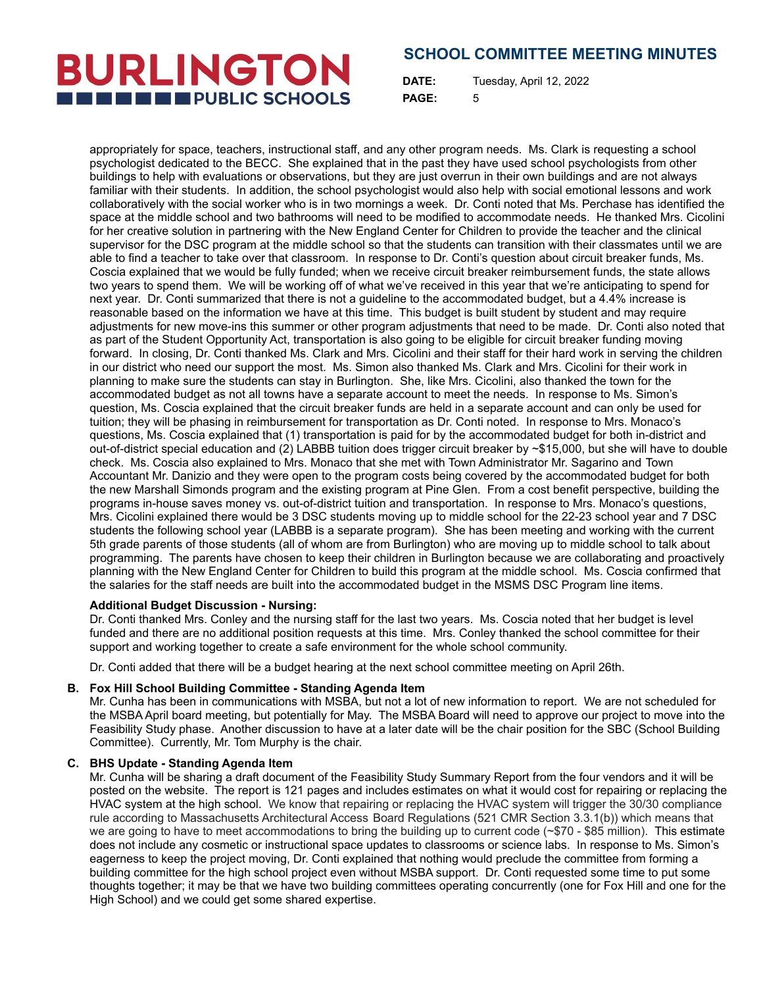## **SCHOOL COMMITTEE MEETING MINUTES**

**DATE:** Tuesday, April 12, 2022 **PAGE:** 5

appropriately for space, teachers, instructional staff, and any other program needs. Ms. Clark is requesting a school psychologist dedicated to the BECC. She explained that in the past they have used school psychologists from other buildings to help with evaluations or observations, but they are just overrun in their own buildings and are not always familiar with their students. In addition, the school psychologist would also help with social emotional lessons and work collaboratively with the social worker who is in two mornings a week. Dr. Conti noted that Ms. Perchase has identified the space at the middle school and two bathrooms will need to be modified to accommodate needs. He thanked Mrs. Cicolini for her creative solution in partnering with the New England Center for Children to provide the teacher and the clinical supervisor for the DSC program at the middle school so that the students can transition with their classmates until we are able to find a teacher to take over that classroom. In response to Dr. Conti's question about circuit breaker funds, Ms. Coscia explained that we would be fully funded; when we receive circuit breaker reimbursement funds, the state allows two years to spend them. We will be working off of what we've received in this year that we're anticipating to spend for next year. Dr. Conti summarized that there is not a guideline to the accommodated budget, but a 4.4% increase is reasonable based on the information we have at this time. This budget is built student by student and may require adjustments for new move-ins this summer or other program adjustments that need to be made. Dr. Conti also noted that as part of the Student Opportunity Act, transportation is also going to be eligible for circuit breaker funding moving forward. In closing, Dr. Conti thanked Ms. Clark and Mrs. Cicolini and their staff for their hard work in serving the children in our district who need our support the most. Ms. Simon also thanked Ms. Clark and Mrs. Cicolini for their work in planning to make sure the students can stay in Burlington. She, like Mrs. Cicolini, also thanked the town for the accommodated budget as not all towns have a separate account to meet the needs. In response to Ms. Simon's question, Ms. Coscia explained that the circuit breaker funds are held in a separate account and can only be used for tuition; they will be phasing in reimbursement for transportation as Dr. Conti noted. In response to Mrs. Monaco's questions, Ms. Coscia explained that (1) transportation is paid for by the accommodated budget for both in-district and out-of-district special education and (2) LABBB tuition does trigger circuit breaker by  $\sim$ \$15,000, but she will have to double check. Ms. Coscia also explained to Mrs. Monaco that she met with Town Administrator Mr. Sagarino and Town Accountant Mr. Danizio and they were open to the program costs being covered by the accommodated budget for both the new Marshall Simonds program and the existing program at Pine Glen. From a cost benefit perspective, building the programs in-house saves money vs. out-of-district tuition and transportation. In response to Mrs. Monaco's questions, Mrs. Cicolini explained there would be 3 DSC students moving up to middle school for the 22-23 school year and 7 DSC students the following school year (LABBB is a separate program). She has been meeting and working with the current 5th grade parents of those students (all of whom are from Burlington) who are moving up to middle school to talk about programming. The parents have chosen to keep their children in Burlington because we are collaborating and proactively planning with the New England Center for Children to build this program at the middle school. Ms. Coscia confirmed that the salaries for the staff needs are built into the accommodated budget in the MSMS DSC Program line items.

## **Additional Budget Discussion - Nursing:**

**BURLINGTON** 

**THE THE PUBLIC SCHOOLS** 

Dr. Conti thanked Mrs. Conley and the nursing staff for the last two years. Ms. Coscia noted that her budget is level funded and there are no additional position requests at this time. Mrs. Conley thanked the school committee for their support and working together to create a safe environment for the whole school community.

Dr. Conti added that there will be a budget hearing at the next school committee meeting on April 26th.

## **B. Fox Hill School Building Committee - Standing Agenda Item**

Mr. Cunha has been in communications with MSBA, but not a lot of new information to report. We are not scheduled for the MSBA April board meeting, but potentially for May. The MSBA Board will need to approve our project to move into the Feasibility Study phase. Another discussion to have at a later date will be the chair position for the SBC (School Building Committee). Currently, Mr. Tom Murphy is the chair.

## **C. BHS Update - Standing Agenda Item**

Mr. Cunha will be sharing a draft document of the Feasibility Study Summary Report from the four vendors and it will be posted on the website. The report is 121 pages and includes estimates on what it would cost for repairing or replacing the HVAC system at the high school. We know that repairing or replacing the HVAC system will trigger the 30/30 compliance rule according to Massachusetts Architectural Access Board Regulations (521 CMR Section 3.3.1(b)) which means that we are going to have to meet accommodations to bring the building up to current code (~\$70 - \$85 million). This estimate does not include any cosmetic or instructional space updates to classrooms or science labs. In response to Ms. Simon's eagerness to keep the project moving, Dr. Conti explained that nothing would preclude the committee from forming a building committee for the high school project even without MSBA support. Dr. Conti requested some time to put some thoughts together; it may be that we have two building committees operating concurrently (one for Fox Hill and one for the High School) and we could get some shared expertise.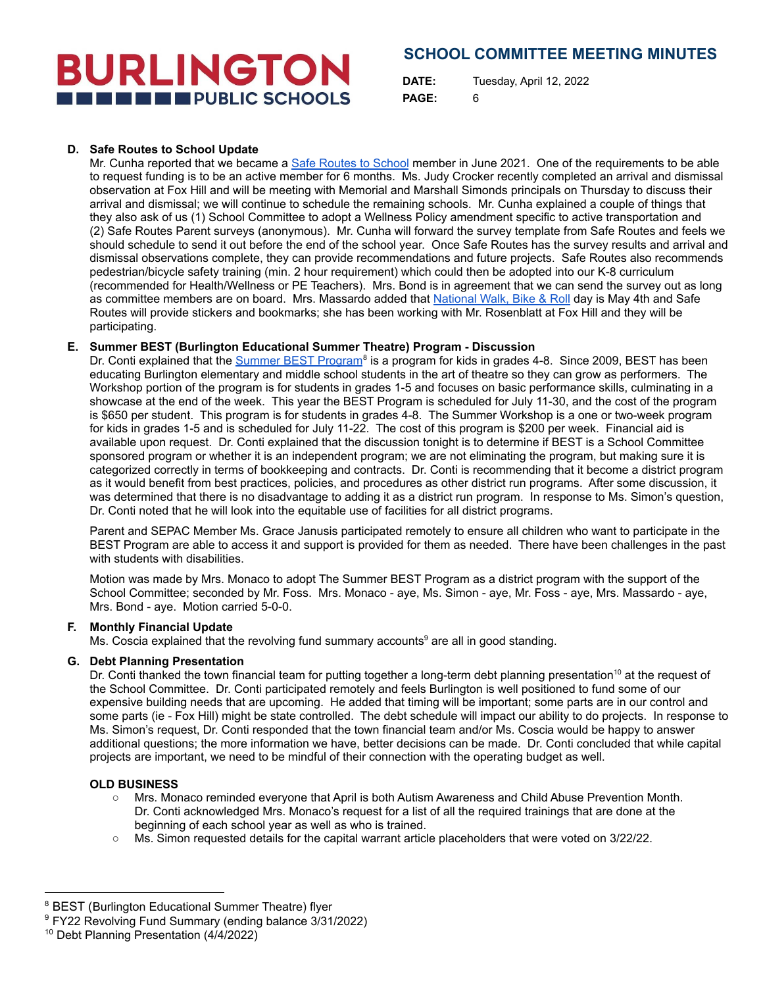# **BURLINGTON THE THE PUBLIC SCHOOLS**

## **SCHOOL COMMITTEE MEETING MINUTES**

**DATE:** Tuesday, April 12, 2022 **PAGE:** 6

## **D. Safe Routes to School Update**

Mr. Cunha reported that we became a Safe [Routes](https://www.saferoutesinfo.org/) to School member in June 2021. One of the requirements to be able to request funding is to be an active member for 6 months. Ms. Judy Crocker recently completed an arrival and dismissal observation at Fox Hill and will be meeting with Memorial and Marshall Simonds principals on Thursday to discuss their arrival and dismissal; we will continue to schedule the remaining schools. Mr. Cunha explained a couple of things that they also ask of us (1) School Committee to adopt a Wellness Policy amendment specific to active transportation and (2) Safe Routes Parent surveys (anonymous). Mr. Cunha will forward the survey template from Safe Routes and feels we should schedule to send it out before the end of the school year. Once Safe Routes has the survey results and arrival and dismissal observations complete, they can provide recommendations and future projects. Safe Routes also recommends pedestrian/bicycle safety training (min. 2 hour requirement) which could then be adopted into our K-8 curriculum (recommended for Health/Wellness or PE Teachers). Mrs. Bond is in agreement that we can send the survey out as long as committee members are on board. Mrs. Massardo added that [National](https://www.walkbiketoschool.org/) Walk, Bike & Roll day is May 4th and Safe Routes will provide stickers and bookmarks; she has been working with Mr. Rosenblatt at Fox Hill and they will be participating.

## **E. Summer BEST (Burlington Educational Summer Theatre) Program - Discussion**

Dr. Conti explained that the Summer BEST [Program](https://www.burlingtontheatre.com/)<sup>8</sup> is a program for kids in grades 4-8. Since 2009, BEST has been educating Burlington elementary and middle school students in the art of theatre so they can grow as performers. The Workshop portion of the program is for students in grades 1-5 and focuses on basic performance skills, culminating in a showcase at the end of the week. This year the BEST Program is scheduled for July 11-30, and the cost of the program is \$650 per student. This program is for students in grades 4-8. The Summer Workshop is a one or two-week program for kids in grades 1-5 and is scheduled for July 11-22. The cost of this program is \$200 per week. Financial aid is available upon request. Dr. Conti explained that the discussion tonight is to determine if BEST is a School Committee sponsored program or whether it is an independent program; we are not eliminating the program, but making sure it is categorized correctly in terms of bookkeeping and contracts. Dr. Conti is recommending that it become a district program as it would benefit from best practices, policies, and procedures as other district run programs. After some discussion, it was determined that there is no disadvantage to adding it as a district run program. In response to Ms. Simon's question, Dr. Conti noted that he will look into the equitable use of facilities for all district programs.

Parent and SEPAC Member Ms. Grace Janusis participated remotely to ensure all children who want to participate in the BEST Program are able to access it and support is provided for them as needed. There have been challenges in the past with students with disabilities.

Motion was made by Mrs. Monaco to adopt The Summer BEST Program as a district program with the support of the School Committee; seconded by Mr. Foss. Mrs. Monaco - aye, Ms. Simon - aye, Mr. Foss - aye, Mrs. Massardo - aye, Mrs. Bond - aye. Motion carried 5-0-0.

## **F. Monthly Financial Update**

Ms. Coscia explained that the revolving fund summary accounts<sup>9</sup> are all in good standing.

## **G. Debt Planning Presentation**

Dr. Conti thanked the town financial team for putting together a long-term debt planning presentation<sup>10</sup> at the request of the School Committee. Dr. Conti participated remotely and feels Burlington is well positioned to fund some of our expensive building needs that are upcoming. He added that timing will be important; some parts are in our control and some parts (ie - Fox Hill) might be state controlled. The debt schedule will impact our ability to do projects. In response to Ms. Simon's request, Dr. Conti responded that the town financial team and/or Ms. Coscia would be happy to answer additional questions; the more information we have, better decisions can be made. Dr. Conti concluded that while capital projects are important, we need to be mindful of their connection with the operating budget as well.

## **OLD BUSINESS**

- Mrs. Monaco reminded everyone that April is both Autism Awareness and Child Abuse Prevention Month. Dr. Conti acknowledged Mrs. Monaco's request for a list of all the required trainings that are done at the beginning of each school year as well as who is trained.
- Ms. Simon requested details for the capital warrant article placeholders that were voted on  $3/22/22$ .

<sup>&</sup>lt;sup>8</sup> BEST (Burlington Educational Summer Theatre) flyer

<sup>&</sup>lt;sup>9</sup> FY22 Revolving Fund Summary (ending balance 3/31/2022)

<sup>10</sup> Debt Planning Presentation (4/4/2022)